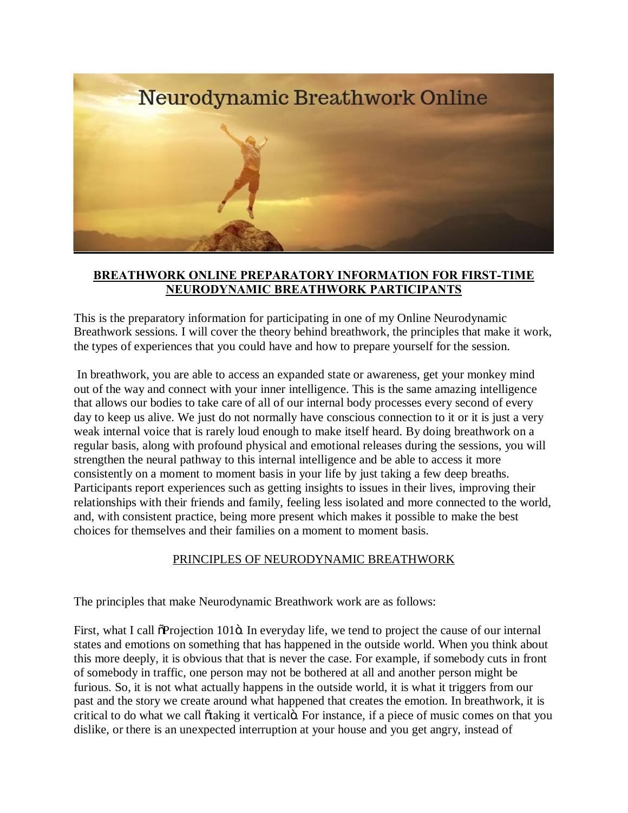

# **BREATHWORK ONLINE PREPARATORY INFORMATION FOR FIRST-TIME NEURODYNAMIC BREATHWORK PARTICIPANTS**

This is the preparatory information for participating in one of my Online Neurodynamic Breathwork sessions. I will cover the theory behind breathwork, the principles that make it work, the types of experiences that you could have and how to prepare yourself for the session.

In breathwork, you are able to access an expanded state or awareness, get your monkey mind out of the way and connect with your inner intelligence. This is the same amazing intelligence that allows our bodies to take care of all of our internal body processes every second of every day to keep us alive. We just do not normally have conscious connection to it or it is just a very weak internal voice that is rarely loud enough to make itself heard. By doing breathwork on a regular basis, along with profound physical and emotional releases during the sessions, you will strengthen the neural pathway to this internal intelligence and be able to access it more consistently on a moment to moment basis in your life by just taking a few deep breaths. Participants report experiences such as getting insights to issues in their lives, improving their relationships with their friends and family, feeling less isolated and more connected to the world, and, with consistent practice, being more present which makes it possible to make the best choices for themselves and their families on a moment to moment basis.

### PRINCIPLES OF NEURODYNAMIC BREATHWORK

The principles that make Neurodynamic Breathwork work are as follows:

First, what I call  $\delta$ Projection 101 $\delta$ . In everyday life, we tend to project the cause of our internal states and emotions on something that has happened in the outside world. When you think about this more deeply, it is obvious that that is never the case. For example, if somebody cuts in front of somebody in traffic, one person may not be bothered at all and another person might be furious. So, it is not what actually happens in the outside world, it is what it triggers from our past and the story we create around what happened that creates the emotion. In breathwork, it is critical to do what we call  $\tilde{o}$  taking it vertical $\tilde{o}$ . For instance, if a piece of music comes on that you dislike, or there is an unexpected interruption at your house and you get angry, instead of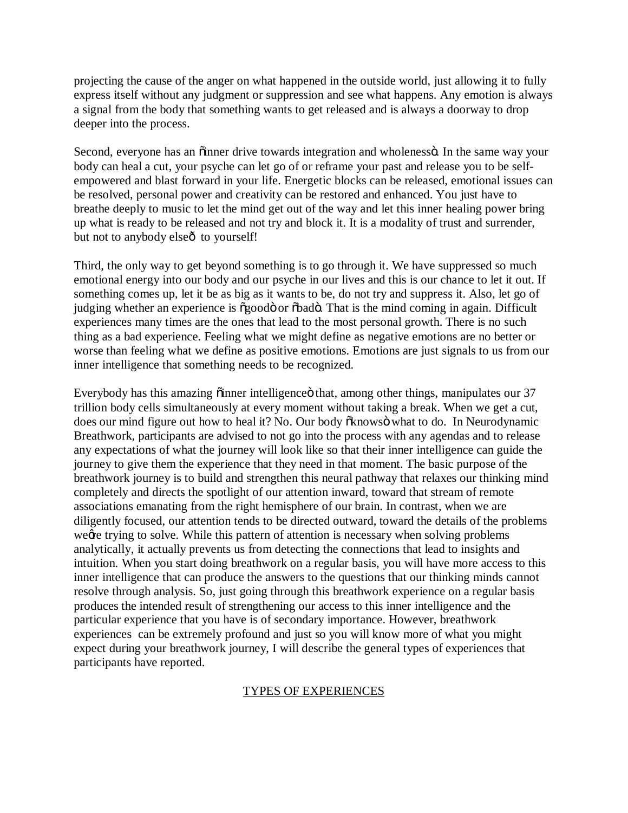projecting the cause of the anger on what happened in the outside world, just allowing it to fully express itself without any judgment or suppression and see what happens. Any emotion is always a signal from the body that something wants to get released and is always a doorway to drop deeper into the process.

Second, everyone has an õinner drive towards integration and wholenessö. In the same way your body can heal a cut, your psyche can let go of or reframe your past and release you to be selfempowered and blast forward in your life. Energetic blocks can be released, emotional issues can be resolved, personal power and creativity can be restored and enhanced. You just have to breathe deeply to music to let the mind get out of the way and let this inner healing power bring up what is ready to be released and not try and block it. It is a modality of trust and surrender, but not to anybody elseô to yourself!

Third, the only way to get beyond something is to go through it. We have suppressed so much emotional energy into our body and our psyche in our lives and this is our chance to let it out. If something comes up, let it be as big as it wants to be, do not try and suppress it. Also, let go of judging whether an experience is  $\tilde{\sigma}$ goodo or  $\tilde{\sigma}$ bado. That is the mind coming in again. Difficult experiences many times are the ones that lead to the most personal growth. There is no such thing as a bad experience. Feeling what we might define as negative emotions are no better or worse than feeling what we define as positive emotions. Emotions are just signals to us from our inner intelligence that something needs to be recognized.

Everybody has this amazing õinner intelligence that, among other things, manipulates our 37 trillion body cells simultaneously at every moment without taking a break. When we get a cut, does our mind figure out how to heal it? No. Our body  $\delta$ knows what to do. In Neurodynamic Breathwork, participants are advised to not go into the process with any agendas and to release any expectations of what the journey will look like so that their inner intelligence can guide the journey to give them the experience that they need in that moment. The basic purpose of the breathwork journey is to build and strengthen this neural pathway that relaxes our thinking mind completely and directs the spotlight of our attention inward, toward that stream of remote associations emanating from the right hemisphere of our brain. In contrast, when we are diligently focused, our attention tends to be directed outward, toward the details of the problems we get trying to solve. While this pattern of attention is necessary when solving problems analytically, it actually prevents us from detecting the connections that lead to insights and intuition. When you start doing breathwork on a regular basis, you will have more access to this inner intelligence that can produce the answers to the questions that our thinking minds cannot resolve through analysis. So, just going through this breathwork experience on a regular basis produces the intended result of strengthening our access to this inner intelligence and the particular experience that you have is of secondary importance. However, breathwork experiences can be extremely profound and just so you will know more of what you might expect during your breathwork journey, I will describe the general types of experiences that participants have reported.

### TYPES OF EXPERIENCES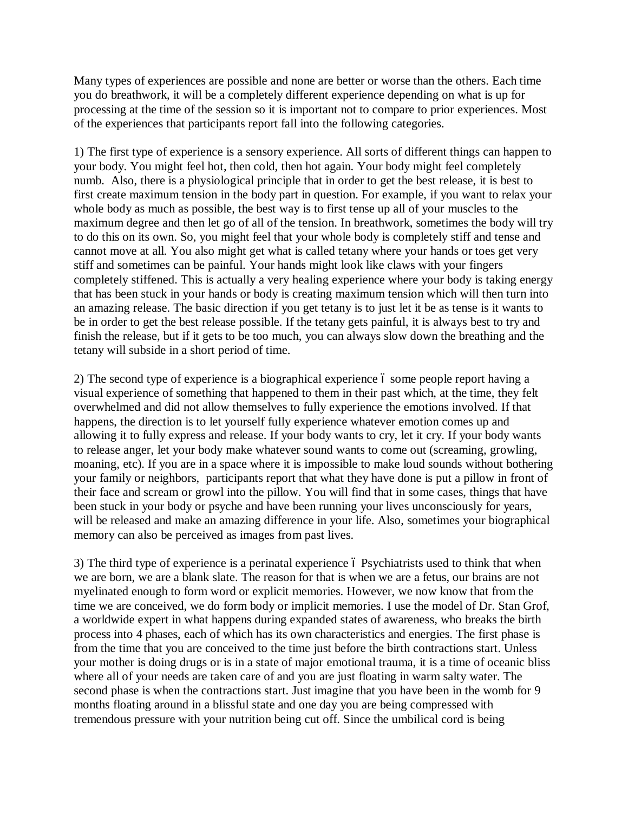Many types of experiences are possible and none are better or worse than the others. Each time you do breathwork, it will be a completely different experience depending on what is up for processing at the time of the session so it is important not to compare to prior experiences. Most of the experiences that participants report fall into the following categories.

1) The first type of experience is a sensory experience. All sorts of different things can happen to your body. You might feel hot, then cold, then hot again. Your body might feel completely numb. Also, there is a physiological principle that in order to get the best release, it is best to first create maximum tension in the body part in question. For example, if you want to relax your whole body as much as possible, the best way is to first tense up all of your muscles to the maximum degree and then let go of all of the tension. In breathwork, sometimes the body will try to do this on its own. So, you might feel that your whole body is completely stiff and tense and cannot move at all. You also might get what is called tetany where your hands or toes get very stiff and sometimes can be painful. Your hands might look like claws with your fingers completely stiffened. This is actually a very healing experience where your body is taking energy that has been stuck in your hands or body is creating maximum tension which will then turn into an amazing release. The basic direction if you get tetany is to just let it be as tense is it wants to be in order to get the best release possible. If the tetany gets painful, it is always best to try and finish the release, but if it gets to be too much, you can always slow down the breathing and the tetany will subside in a short period of time.

2) The second type of experience is a biographical experience 6 some people report having a visual experience of something that happened to them in their past which, at the time, they felt overwhelmed and did not allow themselves to fully experience the emotions involved. If that happens, the direction is to let yourself fully experience whatever emotion comes up and allowing it to fully express and release. If your body wants to cry, let it cry. If your body wants to release anger, let your body make whatever sound wants to come out (screaming, growling, moaning, etc). If you are in a space where it is impossible to make loud sounds without bothering your family or neighbors, participants report that what they have done is put a pillow in front of their face and scream or growl into the pillow. You will find that in some cases, things that have been stuck in your body or psyche and have been running your lives unconsciously for years, will be released and make an amazing difference in your life. Also, sometimes your biographical memory can also be perceived as images from past lives.

3) The third type of experience is a perinatal experience 6 Psychiatrists used to think that when we are born, we are a blank slate. The reason for that is when we are a fetus, our brains are not myelinated enough to form word or explicit memories. However, we now know that from the time we are conceived, we do form body or implicit memories. I use the model of Dr. Stan Grof, a worldwide expert in what happens during expanded states of awareness, who breaks the birth process into 4 phases, each of which has its own characteristics and energies. The first phase is from the time that you are conceived to the time just before the birth contractions start. Unless your mother is doing drugs or is in a state of major emotional trauma, it is a time of oceanic bliss where all of your needs are taken care of and you are just floating in warm salty water. The second phase is when the contractions start. Just imagine that you have been in the womb for 9 months floating around in a blissful state and one day you are being compressed with tremendous pressure with your nutrition being cut off. Since the umbilical cord is being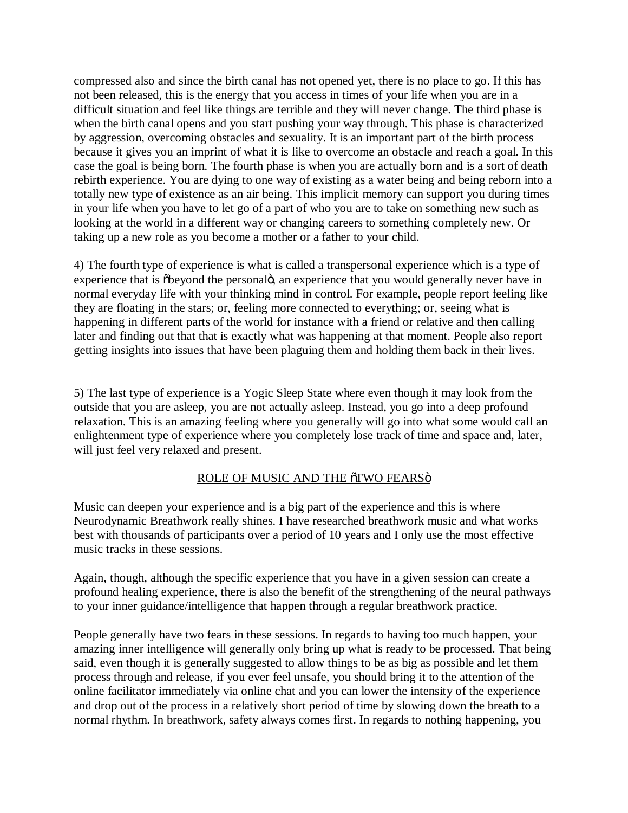compressed also and since the birth canal has not opened yet, there is no place to go. If this has not been released, this is the energy that you access in times of your life when you are in a difficult situation and feel like things are terrible and they will never change. The third phase is when the birth canal opens and you start pushing your way through. This phase is characterized by aggression, overcoming obstacles and sexuality. It is an important part of the birth process because it gives you an imprint of what it is like to overcome an obstacle and reach a goal. In this case the goal is being born. The fourth phase is when you are actually born and is a sort of death rebirth experience. You are dying to one way of existing as a water being and being reborn into a totally new type of existence as an air being. This implicit memory can support you during times in your life when you have to let go of a part of who you are to take on something new such as looking at the world in a different way or changing careers to something completely new. Or taking up a new role as you become a mother or a father to your child.

4) The fourth type of experience is what is called a transpersonal experience which is a type of experience that is  $\delta$ beyond the personalo, an experience that you would generally never have in normal everyday life with your thinking mind in control. For example, people report feeling like they are floating in the stars; or, feeling more connected to everything; or, seeing what is happening in different parts of the world for instance with a friend or relative and then calling later and finding out that that is exactly what was happening at that moment. People also report getting insights into issues that have been plaguing them and holding them back in their lives.

5) The last type of experience is a Yogic Sleep State where even though it may look from the outside that you are asleep, you are not actually asleep. Instead, you go into a deep profound relaxation. This is an amazing feeling where you generally will go into what some would call an enlightenment type of experience where you completely lose track of time and space and, later, will just feel very relaxed and present.

# ROLE OF MUSIC AND THE 5TWO FEARS<sub>Ö</sub>

Music can deepen your experience and is a big part of the experience and this is where Neurodynamic Breathwork really shines. I have researched breathwork music and what works best with thousands of participants over a period of 10 years and I only use the most effective music tracks in these sessions.

Again, though, although the specific experience that you have in a given session can create a profound healing experience, there is also the benefit of the strengthening of the neural pathways to your inner guidance/intelligence that happen through a regular breathwork practice.

People generally have two fears in these sessions. In regards to having too much happen, your amazing inner intelligence will generally only bring up what is ready to be processed. That being said, even though it is generally suggested to allow things to be as big as possible and let them process through and release, if you ever feel unsafe, you should bring it to the attention of the online facilitator immediately via online chat and you can lower the intensity of the experience and drop out of the process in a relatively short period of time by slowing down the breath to a normal rhythm. In breathwork, safety always comes first. In regards to nothing happening, you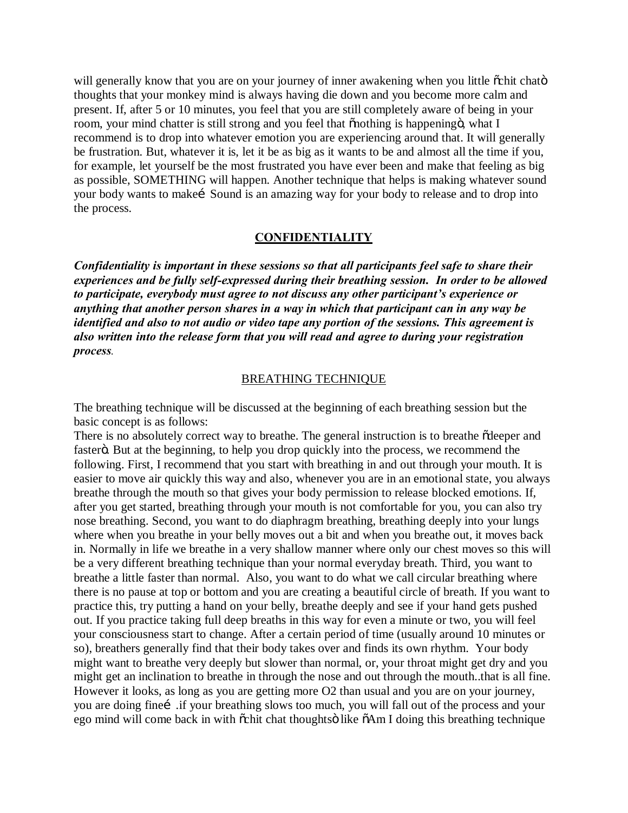will generally know that you are on your journey of inner awakening when you little  $\ddot{\rm{c}}$ chit chato thoughts that your monkey mind is always having die down and you become more calm and present. If, after 5 or 10 minutes, you feel that you are still completely aware of being in your room, your mind chatter is still strong and you feel that  $\tilde{p}$  onothing is happening  $\tilde{p}$ , what I recommend is to drop into whatever emotion you are experiencing around that. It will generally be frustration. But, whatever it is, let it be as big as it wants to be and almost all the time if you, for example, let yourself be the most frustrated you have ever been and make that feeling as big as possible, SOMETHING will happen. Another technique that helps is making whatever sound your body wants to make i Sound is an amazing way for your body to release and to drop into the process.

### **CONFIDENTIALITY**

*Confidentiality is important in these sessions so that all participants feel safe to share their experiences and be fully self-expressed during their breathing session. In order to be allowed to participate, everybody must agree to not discuss any other participant's experience or anything that another person shares in a way in which that participant can in any way be identified and also to not audio or video tape any portion of the sessions. This agreement is also written into the release form that you will read and agree to during your registration process.*

#### BREATHING TECHNIQUE

The breathing technique will be discussed at the beginning of each breathing session but the basic concept is as follows:

There is no absolutely correct way to breathe. The general instruction is to breathe  $\tilde{\alpha}$  deeper and fasterö. But at the beginning, to help you drop quickly into the process, we recommend the following. First, I recommend that you start with breathing in and out through your mouth. It is easier to move air quickly this way and also, whenever you are in an emotional state, you always breathe through the mouth so that gives your body permission to release blocked emotions. If, after you get started, breathing through your mouth is not comfortable for you, you can also try nose breathing. Second, you want to do diaphragm breathing, breathing deeply into your lungs where when you breathe in your belly moves out a bit and when you breathe out, it moves back in. Normally in life we breathe in a very shallow manner where only our chest moves so this will be a very different breathing technique than your normal everyday breath. Third, you want to breathe a little faster than normal. Also, you want to do what we call circular breathing where there is no pause at top or bottom and you are creating a beautiful circle of breath. If you want to practice this, try putting a hand on your belly, breathe deeply and see if your hand gets pushed out. If you practice taking full deep breaths in this way for even a minute or two, you will feel your consciousness start to change. After a certain period of time (usually around 10 minutes or so), breathers generally find that their body takes over and finds its own rhythm. Your body might want to breathe very deeply but slower than normal, or, your throat might get dry and you might get an inclination to breathe in through the nose and out through the mouth..that is all fine. However it looks, as long as you are getting more O2 than usual and you are on your journey, you are doing fine iif your breathing slows too much, you will fall out of the process and your ego mind will come back in with  $\tilde{\alpha}$ chit chat thoughtsö like  $\tilde{\alpha}$ Am I doing this breathing technique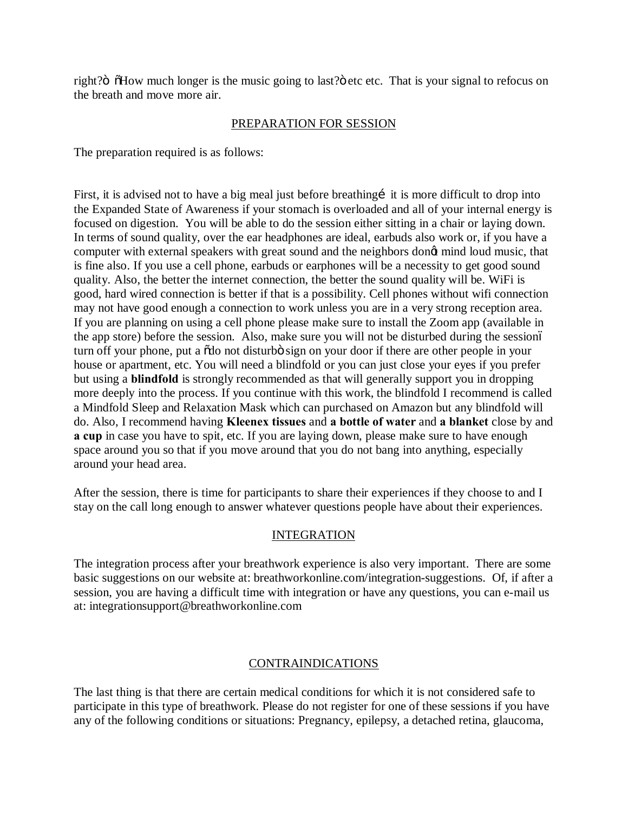right?" "How much longer is the music going to last?" etc etc. That is your signal to refocus on the breath and move more air.

## PREPARATION FOR SESSION

The preparation required is as follows:

First, it is advised not to have a big meal just before breathing it is more difficult to drop into the Expanded State of Awareness if your stomach is overloaded and all of your internal energy is focused on digestion. You will be able to do the session either sitting in a chair or laying down. In terms of sound quality, over the ear headphones are ideal, earbuds also work or, if you have a computer with external speakers with great sound and the neighbors dong mind loud music, that is fine also. If you use a cell phone, earbuds or earphones will be a necessity to get good sound quality. Also, the better the internet connection, the better the sound quality will be. WiFi is good, hard wired connection is better if that is a possibility. Cell phones without wifi connection may not have good enough a connection to work unless you are in a very strong reception area. If you are planning on using a cell phone please make sure to install the Zoom app (available in the app store) before the session. Also, make sure you will not be disturbed during the session– turn off your phone, put a  $\delta$ do not disturbo sign on your door if there are other people in your house or apartment, etc. You will need a blindfold or you can just close your eyes if you prefer but using a **blindfold** is strongly recommended as that will generally support you in dropping more deeply into the process. If you continue with this work, the blindfold I recommend is called a Mindfold Sleep and Relaxation Mask which can purchased on Amazon but any blindfold will do. Also, I recommend having **Kleenex tissues** and **a bottle of water** and **a blanket** close by and **a cup** in case you have to spit, etc. If you are laying down, please make sure to have enough space around you so that if you move around that you do not bang into anything, especially around your head area.

After the session, there is time for participants to share their experiences if they choose to and I stay on the call long enough to answer whatever questions people have about their experiences.

# INTEGRATION

The integration process after your breathwork experience is also very important. There are some basic suggestions on our website at: breathworkonline.com/integration-suggestions. Of, if after a session, you are having a difficult time with integration or have any questions, you can e-mail us at: integrationsupport@breathworkonline.com

### CONTRAINDICATIONS

The last thing is that there are certain medical conditions for which it is not considered safe to participate in this type of breathwork. Please do not register for one of these sessions if you have any of the following conditions or situations: Pregnancy, epilepsy, a detached retina, glaucoma,